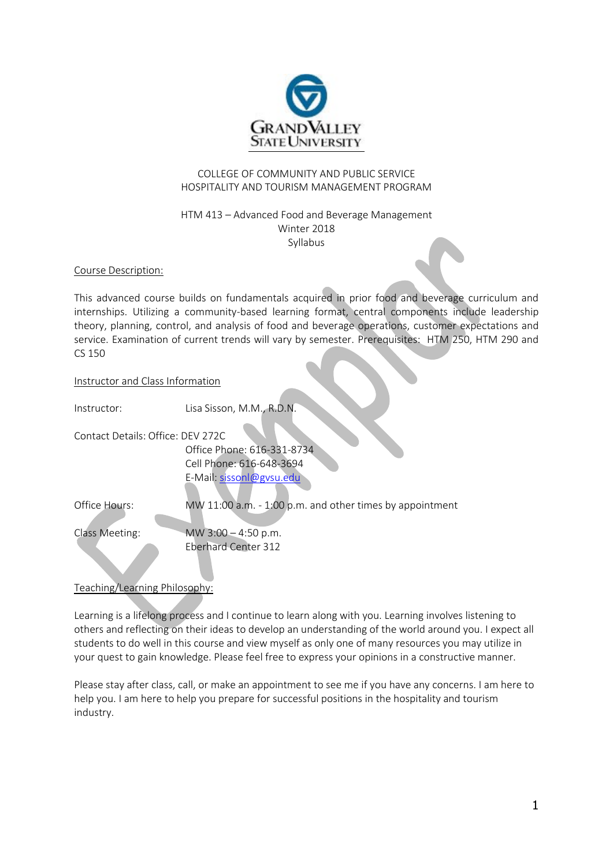

# COLLEGE OF COMMUNITY AND PUBLIC SERVICE HOSPITALITY AND TOURISM MANAGEMENT PROGRAM

## HTM 413 – Advanced Food and Beverage Management Winter 2018 Syllabus

Course Description:

This advanced course builds on fundamentals acquired in prior food and beverage curriculum and internships. Utilizing a community-based learning format, central components include leadership theory, planning, control, and analysis of food and beverage operations, customer expectations and service. Examination of current trends will vary by semester. Prerequisites: HTM 250, HTM 290 and CS 150

## Instructor and Class Information

| Instructor:                       | Lisa Sisson, M.M., R.D.N.                                 |
|-----------------------------------|-----------------------------------------------------------|
| Contact Details: Office: DFV 272C |                                                           |
|                                   | Office Phone: 616-331-8734                                |
|                                   | Cell Phone: 616-648-3694                                  |
|                                   | E-Mail: sissonl@gysu.edu                                  |
| Office Hours:                     | MW 11:00 a.m. $-1:00$ p.m. and other times by appointment |
| Class Meeting:                    | MW $3:00 - 4:50$ p.m.                                     |
|                                   | <b>Eberhard Center 312</b>                                |

Teaching/Learning Philosophy:

Learning is a lifelong process and I continue to learn along with you. Learning involves listening to others and reflecting on their ideas to develop an understanding of the world around you. I expect all students to do well in this course and view myself as only one of many resources you may utilize in your quest to gain knowledge. Please feel free to express your opinions in a constructive manner.

Please stay after class, call, or make an appointment to see me if you have any concerns. I am here to help you. I am here to help you prepare for successful positions in the hospitality and tourism industry.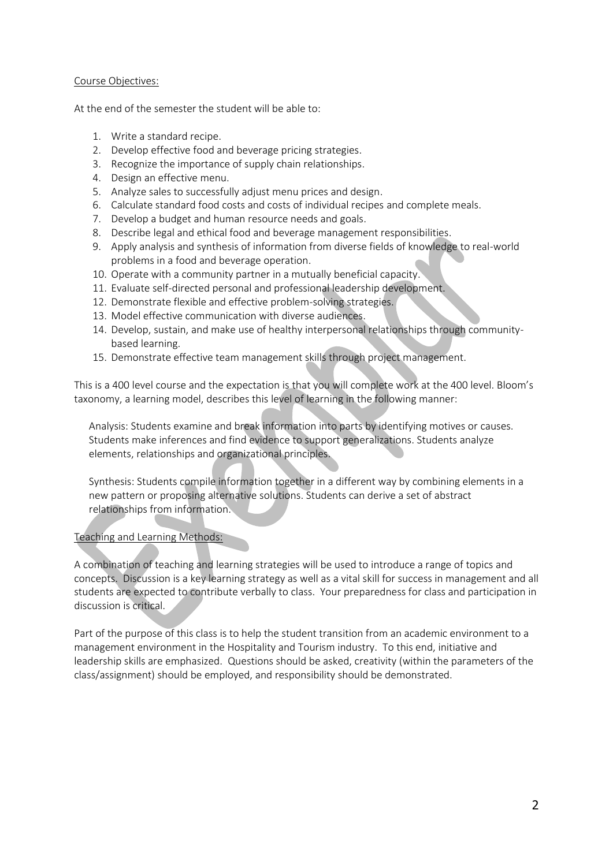### Course Objectives:

At the end of the semester the student will be able to:

- 1. Write a standard recipe.
- 2. Develop effective food and beverage pricing strategies.
- 3. Recognize the importance of supply chain relationships.
- 4. Design an effective menu.
- 5. Analyze sales to successfully adjust menu prices and design.
- 6. Calculate standard food costs and costs of individual recipes and complete meals.
- 7. Develop a budget and human resource needs and goals.
- 8. Describe legal and ethical food and beverage management responsibilities.
- 9. Apply analysis and synthesis of information from diverse fields of knowledge to real-world problems in a food and beverage operation.
- 10. Operate with a community partner in a mutually beneficial capacity.
- 11. Evaluate self-directed personal and professional leadership development.
- 12. Demonstrate flexible and effective problem-solving strategies.
- 13. Model effective communication with diverse audiences.
- 14. Develop, sustain, and make use of healthy interpersonal relationships through communitybased learning.
- 15. Demonstrate effective team management skills through project management.

This is a 400 level course and the expectation is that you will complete work at the 400 level. Bloom's taxonomy, a learning model, describes this level of learning in the following manner:

Analysis: Students examine and break information into parts by identifying motives or causes. Students make inferences and find evidence to support generalizations. Students analyze elements, relationships and organizational principles.

Synthesis: Students compile information together in a different way by combining elements in a new pattern or proposing alternative solutions. Students can derive a set of abstract relationships from information.

# Teaching and Learning Methods:

A combination of teaching and learning strategies will be used to introduce a range of topics and concepts. Discussion is a key learning strategy as well as a vital skill for success in management and all students are expected to contribute verbally to class. Your preparedness for class and participation in discussion is critical.

Part of the purpose of this class is to help the student transition from an academic environment to a management environment in the Hospitality and Tourism industry. To this end, initiative and leadership skills are emphasized. Questions should be asked, creativity (within the parameters of the class/assignment) should be employed, and responsibility should be demonstrated.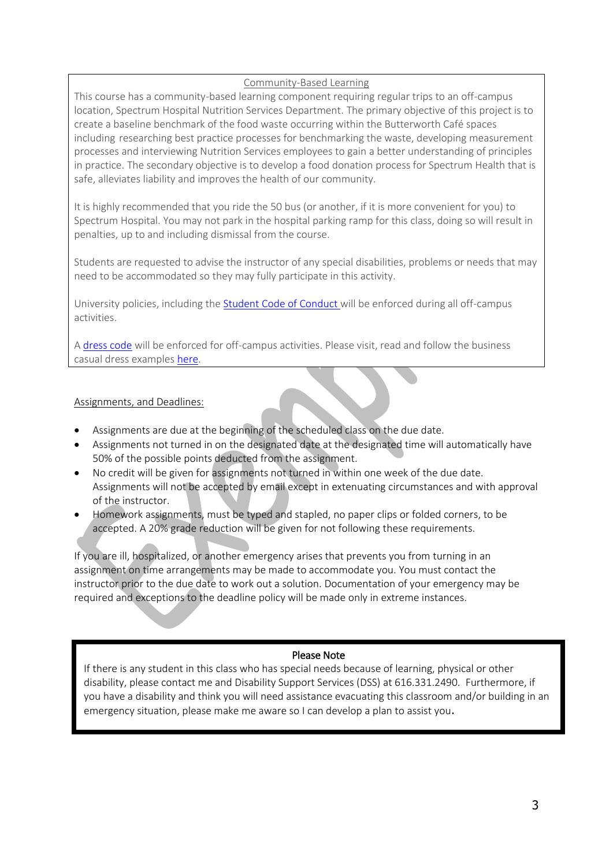## Community-Based Learning

This course has a community-based learning component requiring regular trips to an off-campus location, Spectrum Hospital Nutrition Services Department. The primary objective of this project is to create a baseline benchmark of the food waste occurring within the Butterworth Café spaces including researching best practice processes for benchmarking the waste, developing measurement processes and interviewing Nutrition Services employees to gain a better understanding of principles in practice. The secondary objective is to develop a food donation process for Spectrum Health that is safe, alleviates liability and improves the health of our community.

It is highly recommended that you ride the 50 bus (or another, if it is more convenient for you) to Spectrum Hospital. You may not park in the hospital parking ramp for this class, doing so will result in penalties, up to and including dismissal from the course.

Students are requested to advise the instructor of any special disabilities, problems or needs that may need to be accommodated so they may fully participate in this activity.

University policies, including the [Student Code of Conduct](http://www.gvsu.edu/studentcode/) will be enforced during all off-campus activities.

[A dress code](https://career.vt.edu/job-search/presenting_yourself/attire/business-casual.html) will be enforced for off-campus activities. Please visit, read and follow the business casual dress examples [here.](https://career.vt.edu/job-search/presenting_yourself/attire/business-casual.html)

# Assignments, and Deadlines:

- Assignments are due at the beginning of the scheduled class on the due date.
- Assignments not turned in on the designated date at the designated time will automatically have 50% of the possible points deducted from the assignment.
- No credit will be given for assignments not turned in within one week of the due date. Assignments will not be accepted by email except in extenuating circumstances and with approval of the instructor.
- Homework assignments, must be typed and stapled, no paper clips or folded corners, to be accepted. A 20% grade reduction will be given for not following these requirements.

If you are ill, hospitalized, or another emergency arises that prevents you from turning in an assignment on time arrangements may be made to accommodate you. You must contact the instructor prior to the due date to work out a solution. Documentation of your emergency may be required and exceptions to the deadline policy will be made only in extreme instances.

# Please Note

If there is any student in this class who has special needs because of learning, physical or other disability, please contact me and Disability Support Services (DSS) at 616.331.2490. Furthermore, if you have a disability and think you will need assistance evacuating this classroom and/or building in an emergency situation, please make me aware so I can develop a plan to assist you.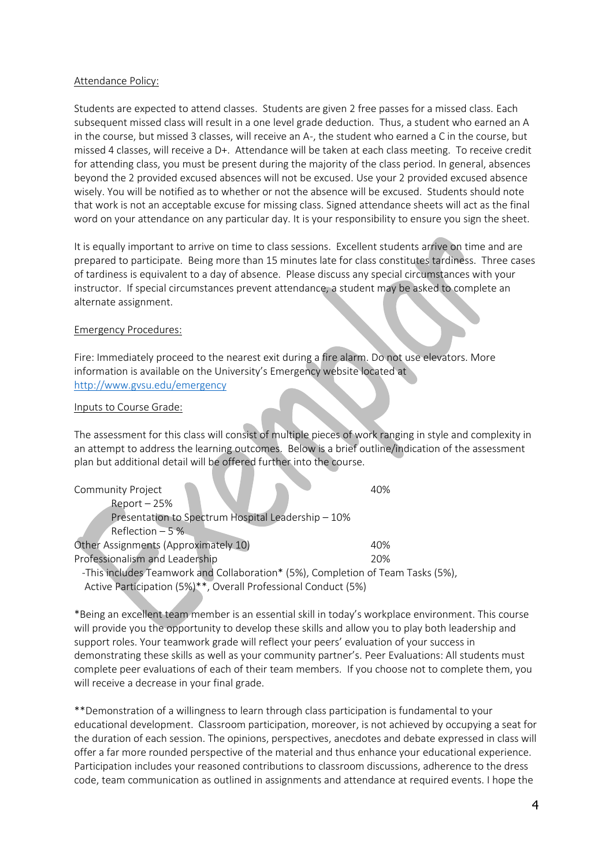#### Attendance Policy:

Students are expected to attend classes. Students are given 2 free passes for a missed class. Each subsequent missed class will result in a one level grade deduction. Thus, a student who earned an A in the course, but missed 3 classes, will receive an A-, the student who earned a C in the course, but missed 4 classes, will receive a D+. Attendance will be taken at each class meeting. To receive credit for attending class, you must be present during the majority of the class period. In general, absences beyond the 2 provided excused absences will not be excused. Use your 2 provided excused absence wisely. You will be notified as to whether or not the absence will be excused. Students should note that work is not an acceptable excuse for missing class. Signed attendance sheets will act as the final word on your attendance on any particular day. It is your responsibility to ensure you sign the sheet.

It is equally important to arrive on time to class sessions. Excellent students arrive on time and are prepared to participate. Being more than 15 minutes late for class constitutes tardiness. Three cases of tardiness is equivalent to a day of absence. Please discuss any special circumstances with your instructor. If special circumstances prevent attendance, a student may be asked to complete an alternate assignment.

## Emergency Procedures:

Fire: Immediately proceed to the nearest exit during a fire alarm. Do not use elevators. More information is available on the University's Emergency website located at <http://www.gvsu.edu/emergency>

#### Inputs to Course Grade:

The assessment for this class will consist of multiple pieces of work ranging in style and complexity in an attempt to address the learning outcomes. Below is a brief outline/indication of the assessment plan but additional detail will be offered further into the course.

Community Project 40% Report – 25% Presentation to Spectrum Hospital Leadership – 10% Reflection – 5 % Other Assignments (Approximately 10) 40% Professionalism and Leadership 20%

 -This includes Teamwork and Collaboration\* (5%), Completion of Team Tasks (5%), Active Participation (5%)\*\*, Overall Professional Conduct (5%)

\*Being an excellent team member is an essential skill in today's workplace environment. This course will provide you the opportunity to develop these skills and allow you to play both leadership and support roles. Your teamwork grade will reflect your peers' evaluation of your success in demonstrating these skills as well as your community partner's. Peer Evaluations: All students must complete peer evaluations of each of their team members. If you choose not to complete them, you will receive a decrease in your final grade.

\*\*Demonstration of a willingness to learn through class participation is fundamental to your educational development. Classroom participation, moreover, is not achieved by occupying a seat for the duration of each session. The opinions, perspectives, anecdotes and debate expressed in class will offer a far more rounded perspective of the material and thus enhance your educational experience. Participation includes your reasoned contributions to classroom discussions, adherence to the dress code, team communication as outlined in assignments and attendance at required events. I hope the